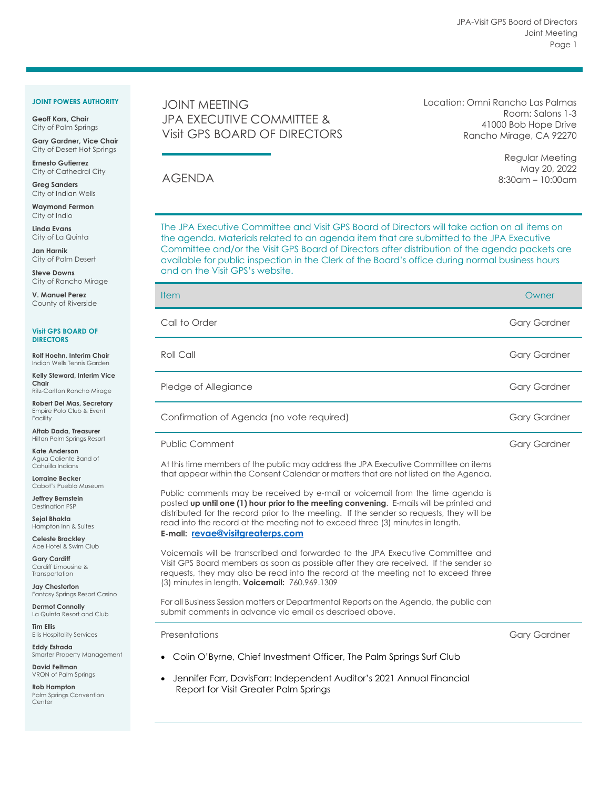### **JOINT POWERS AUTHORITY**

**Geoff Kors, Chair** City of Palm Springs

**Gary Gardner, Vice Chair** City of Desert Hot Springs

**Ernesto Gutierrez** City of Cathedral City

**Greg Sanders** City of Indian Wells

**Waymond Fermon** City of Indio

**Linda Evans** City of La Quinta

**Jan Harnik** City of Palm Desert

**Steve Downs** City of Rancho Mirage

**V. Manuel Perez** County of Riverside

#### **Visit GPS BOARD OF DIRECTORS**

**Rolf Hoehn, Interim Chair** Indian Wells Tennis Garden

**Kelly Steward, Interim Vice Chair** Ritz-Carlton Rancho Mirage

**Robert Del Mas, Secretary** Empire Polo Club & Event Facility

**Aftab Dada, Treasurer** Hilton Palm Springs Resort

**Kate Anderson** Agua Caliente Band of Cahuilla Indians

**Lorraine Becker** Cabot's Pueblo Museum

**Jeffrey Bernstein** Destination PSP

**Sejal Bhakta** Hampton Inn & Suites

**Celeste Brackley** Ace Hotel & Swim Club

**Gary Cardiff** Cardiff Limousine & **Transportation** 

**Jay Chesterton** Fantasy Springs Resort Casino

**Dermot Connolly** La Quinta Resort and Club

**Tim Ellis** Ellis Hospitality Services

**Eddy Estrada** Smarter Property Management

**David Feltman** VRON of Palm Springs

**Rob Hampton** Palm Springs Convention **Center** 

# JOINT MEETING JPA EXECUTIVE COMMITTEE & Visit GPS BOARD OF DIRECTORS

Location: Omni Rancho Las Palmas Room: Salons 1-3 41000 Bob Hope Drive Rancho Mirage, CA 92270

> Regular Meeting May 20, 2022 8:30am – 10:00am

AGENDA

The JPA Executive Committee and Visit GPS Board of Directors will take action on all items on the agenda. Materials related to an agenda item that are submitted to the JPA Executive Committee and/or the Visit GPS Board of Directors after distribution of the agenda packets are available for public inspection in the Clerk of the Board's office during normal business hours and on the Visit GPS's website.

| <b>Item</b>                                                                                                                                                                                                                                                                                                                                                                                  | Owner               |
|----------------------------------------------------------------------------------------------------------------------------------------------------------------------------------------------------------------------------------------------------------------------------------------------------------------------------------------------------------------------------------------------|---------------------|
| Call to Order                                                                                                                                                                                                                                                                                                                                                                                | <b>Gary Gardner</b> |
| Roll Call                                                                                                                                                                                                                                                                                                                                                                                    | <b>Gary Gardner</b> |
| Pledge of Allegiance                                                                                                                                                                                                                                                                                                                                                                         | <b>Gary Gardner</b> |
| Confirmation of Agenda (no vote required)                                                                                                                                                                                                                                                                                                                                                    | <b>Gary Gardner</b> |
| <b>Public Comment</b>                                                                                                                                                                                                                                                                                                                                                                        | <b>Gary Gardner</b> |
| At this time members of the public may address the JPA Executive Committee on items<br>that appear within the Consent Calendar or matters that are not listed on the Agenda.                                                                                                                                                                                                                 |                     |
| Public comments may be received by e-mail or voicemail from the time agenda is<br>posted up until one (1) hour prior to the meeting convening. E-mails will be printed and<br>distributed for the record prior to the meeting. If the sender so requests, they will be<br>read into the record at the meeting not to exceed three (3) minutes in length.<br>E-mail: revae@visitgreaterps.com |                     |
| Voicemails will be transcribed and forwarded to the JPA Executive Committee and<br>Visit GPS Board members as soon as possible after they are received. If the sender so<br>requests, they may also be read into the record at the meeting not to exceed three<br>(3) minutes in length. <b>Voicemail:</b> 760.969.1309                                                                      |                     |
| For all Business Session matters or Departmental Reports on the Agenda, the public can<br>submit comments in advance via email as described above.                                                                                                                                                                                                                                           |                     |
| Presentations                                                                                                                                                                                                                                                                                                                                                                                | <b>Gary Gardner</b> |

- Colin O'Byrne, Chief Investment Officer, The Palm Springs Surf Club
- Jennifer Farr, DavisFarr: Independent Auditor's 2021 Annual Financial Report for Visit Greater Palm Springs